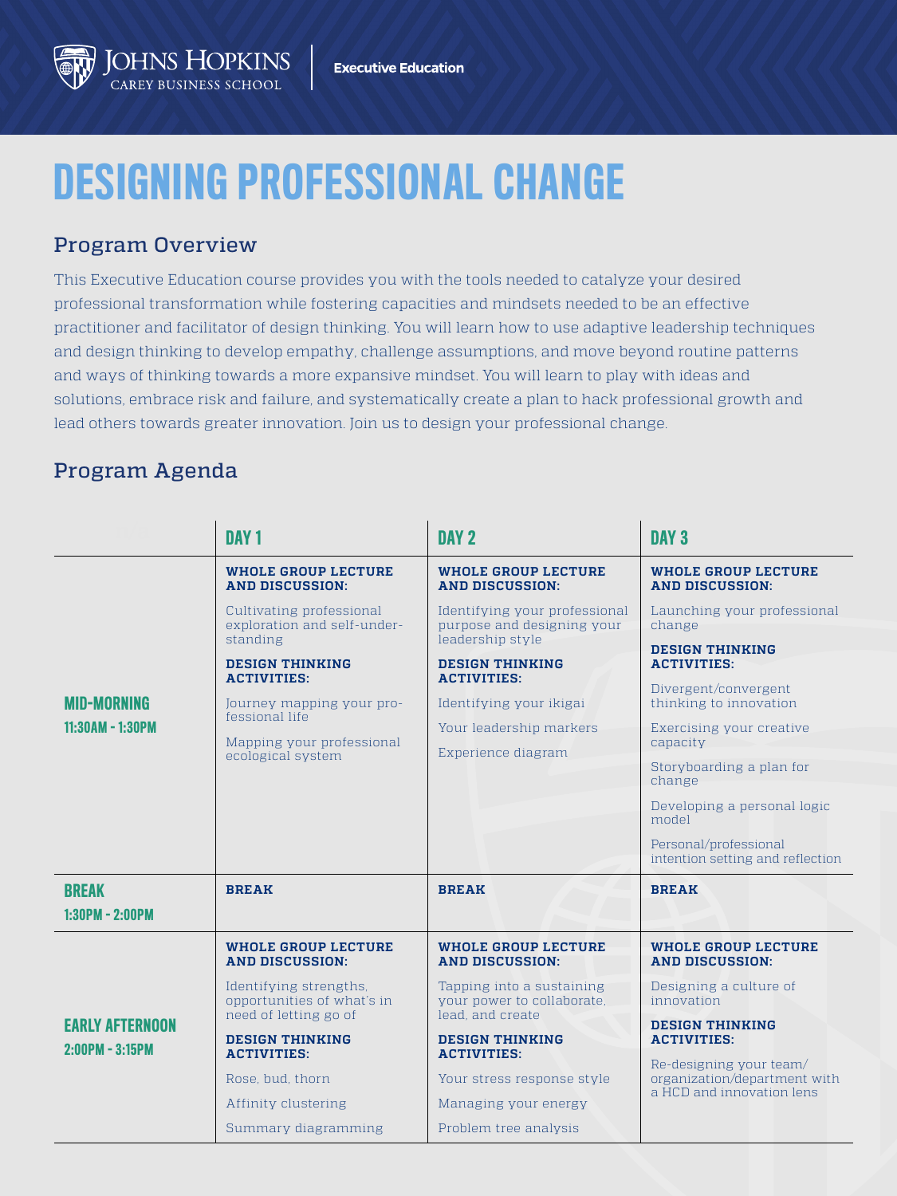## OHNS HOPKINS

## DESIGNING PROFESSIONAL CHANGE

## Program Overview

This Executive Education course provides you with the tools needed to catalyze your desired professional transformation while fostering capacities and mindsets needed to be an effective practitioner and facilitator of design thinking. You will learn how to use adaptive leadership techniques and design thinking to develop empathy, challenge assumptions, and move beyond routine patterns and ways of thinking towards a more expansive mindset. You will learn to play with ideas and solutions, embrace risk and failure, and systematically create a plan to hack professional growth and lead others towards greater innovation. Join us to design your professional change.

## Program Agenda

|                                             | DAY <sub>1</sub>                                                              | DAY <sub>2</sub>                                                                | DAY <sub>3</sub>                                          |
|---------------------------------------------|-------------------------------------------------------------------------------|---------------------------------------------------------------------------------|-----------------------------------------------------------|
| <b>MID-MORNING</b><br>11:30AM - 1:30PM      | <b>WHOLE GROUP LECTURE</b><br><b>AND DISCUSSION:</b>                          | <b>WHOLE GROUP LECTURE</b><br><b>AND DISCUSSION:</b>                            | <b>WHOLE GROUP LECTURE</b><br><b>AND DISCUSSION:</b>      |
|                                             | Cultivating professional<br>exploration and self-under-<br>standing           | Identifying your professional<br>purpose and designing your<br>leadership style | Launching your professional<br>change                     |
|                                             | <b>DESIGN THINKING</b><br><b>ACTIVITIES:</b>                                  | <b>DESIGN THINKING</b><br><b>ACTIVITIES:</b>                                    | <b>DESIGN THINKING</b><br><b>ACTIVITIES:</b>              |
|                                             | Journey mapping your pro-<br>fessional life                                   | Identifying your ikigai                                                         | Divergent/convergent<br>thinking to innovation            |
|                                             | Mapping your professional<br>ecological system                                | Your leadership markers<br>Experience diagram                                   | Exercising your creative<br>capacity                      |
|                                             |                                                                               |                                                                                 | Storyboarding a plan for<br>change                        |
|                                             |                                                                               |                                                                                 | Developing a personal logic<br>model                      |
|                                             |                                                                               |                                                                                 | Personal/professional<br>intention setting and reflection |
| <b>BREAK</b><br>$1:30PM - 2:00PM$           | <b>BREAK</b>                                                                  | <b>BREAK</b>                                                                    | <b>BREAK</b>                                              |
| <b>EARLY AFTERNOON</b><br>$2:00PM - 3:15PM$ | <b>WHOLE GROUP LECTURE</b><br><b>AND DISCUSSION:</b>                          | <b>WHOLE GROUP LECTURE</b><br><b>AND DISCUSSION:</b>                            | <b>WHOLE GROUP LECTURE</b><br><b>AND DISCUSSION:</b>      |
|                                             | Identifying strengths.<br>opportunities of what's in<br>need of letting go of | Tapping into a sustaining<br>your power to collaborate.<br>lead, and create     | Designing a culture of<br>innovation                      |
|                                             | <b>DESIGN THINKING</b><br><b>ACTIVITIES:</b>                                  | <b>DESIGN THINKING</b><br><b>ACTIVITIES:</b>                                    | <b>DESIGN THINKING</b><br><b>ACTIVITIES:</b>              |
|                                             | Rose, bud, thorn                                                              | Your stress response style                                                      | Re-designing your team/<br>organization/department with   |
|                                             | Affinity clustering                                                           | Managing your energy                                                            | a HCD and innovation lens                                 |
|                                             | Summary diagramming                                                           | Problem tree analysis                                                           |                                                           |